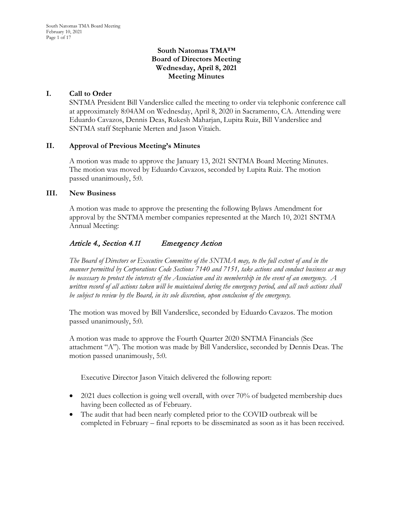### **South Natomas TMA™ Board of Directors Meeting Wednesday, April 8, 2021 Meeting Minutes**

# **I. Call to Order**

SNTMA President Bill Vanderslice called the meeting to order via telephonic conference call at approximately 8:04AM on Wednesday, April 8, 2020 in Sacramento, CA. Attending were Eduardo Cavazos, Dennis Deas, Rukesh Maharjan, Lupita Ruiz, Bill Vanderslice and SNTMA staff Stephanie Merten and Jason Vitaich.

#### **II. Approval of Previous Meeting's Minutes**

A motion was made to approve the January 13, 2021 SNTMA Board Meeting Minutes. The motion was moved by Eduardo Cavazos, seconded by Lupita Ruiz. The motion passed unanimously, 5:0.

#### **III. New Business**

A motion was made to approve the presenting the following Bylaws Amendment for approval by the SNTMA member companies represented at the March 10, 2021 SNTMA Annual Meeting:

# Article 4., Section 4.11Emergency Action

*The Board of Directors or Executive Committee of the SNTMA may, to the full extent of and in the manner permitted by Corporations Code Sections 7140 and 7151, take actions and conduct business as may be necessary to protect the interests of the Association and its membership in the event of an emergency. A written record of all actions taken will be maintained during the emergency period, and all such actions shall be subject to review by the Board, in its sole discretion, upon conclusion of the emergency.*

The motion was moved by Bill Vanderslice, seconded by Eduardo Cavazos. The motion passed unanimously, 5:0.

A motion was made to approve the Fourth Quarter 2020 SNTMA Financials (See attachment "A"). The motion was made by Bill Vanderslice, seconded by Dennis Deas. The motion passed unanimously, 5:0.

Executive Director Jason Vitaich delivered the following report:

- 2021 dues collection is going well overall, with over 70% of budgeted membership dues having been collected as of February.
- The audit that had been nearly completed prior to the COVID outbreak will be completed in February – final reports to be disseminated as soon as it has been received.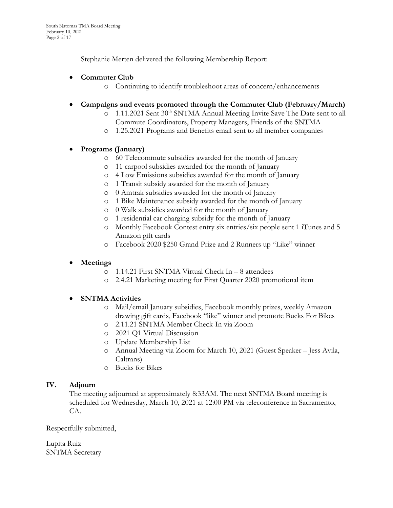Stephanie Merten delivered the following Membership Report:

### • **Commuter Club**

o Continuing to identify troubleshoot areas of concern/enhancements

### • **Campaigns and events promoted through the Commuter Club (February/March)**

- o 1.11.2021 Sent 30<sup>th</sup> SNTMA Annual Meeting Invite Save The Date sent to all Commute Coordinators, Property Managers, Friends of the SNTMA
- o 1.25.2021 Programs and Benefits email sent to all member companies

# • **Programs (January)**

- o 60 Telecommute subsidies awarded for the month of January
- o 11 carpool subsidies awarded for the month of January
- o 4 Low Emissions subsidies awarded for the month of January
- o 1 Transit subsidy awarded for the month of January
- o 0 Amtrak subsidies awarded for the month of January
- o 1 Bike Maintenance subsidy awarded for the month of January
- o 0 Walk subsidies awarded for the month of January
- o 1 residential car charging subsidy for the month of January
- o Monthly Facebook Contest entry six entries/six people sent 1 iTunes and 5 Amazon gift cards
- o Facebook 2020 \$250 Grand Prize and 2 Runners up "Like" winner

# • **Meetings**

- o 1.14.21 First SNTMA Virtual Check In 8 attendees
- o 2.4.21 Marketing meeting for First Quarter 2020 promotional item

# • **SNTMA Activities**

- o Mail/email January subsidies, Facebook monthly prizes, weekly Amazon drawing gift cards, Facebook "like" winner and promote Bucks For Bikes
- o 2.11.21 SNTMA Member Check-In via Zoom
- o 2021 Q1 Virtual Discussion
- o Update Membership List
- o Annual Meeting via Zoom for March 10, 2021 (Guest Speaker Jess Avila, Caltrans)
- o Bucks for Bikes

#### **IV. Adjourn**

The meeting adjourned at approximately 8:33AM. The next SNTMA Board meeting is scheduled for Wednesday, March 10, 2021 at 12:00 PM via teleconference in Sacramento, CA.

Respectfully submitted,

Lupita Ruiz SNTMA Secretary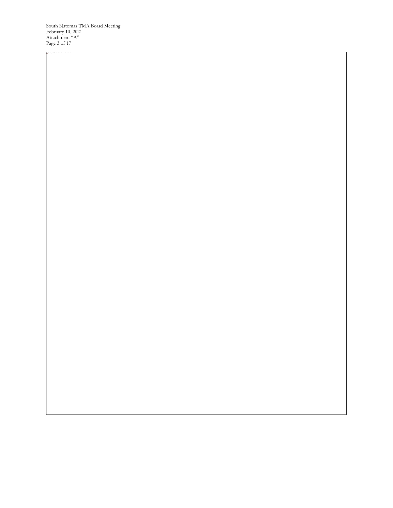South Natomas TMA Board Meeting February 10, 2021 Attachment "A" Page 3 of 17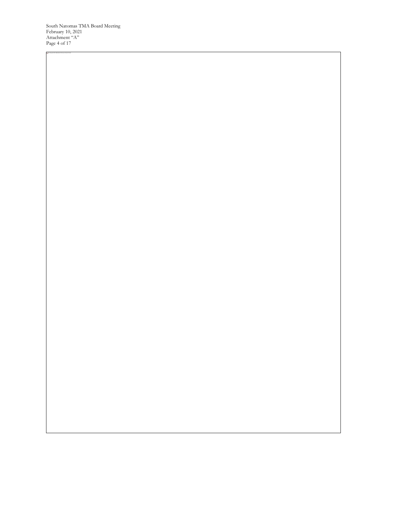South Natomas TMA Board Meeting February 10, 2021 Attachment "A" Page 4 of 17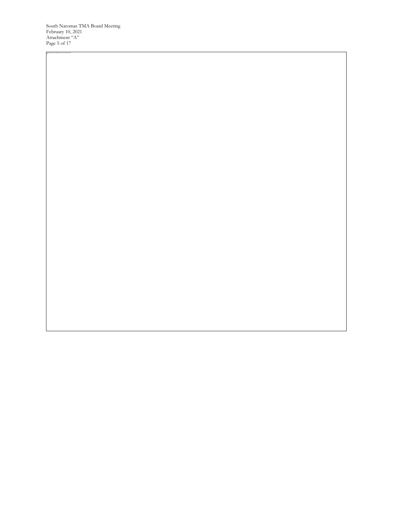South Natomas TMA Board Meeting February 10, 2021 Attachment "A" Page 5 of 17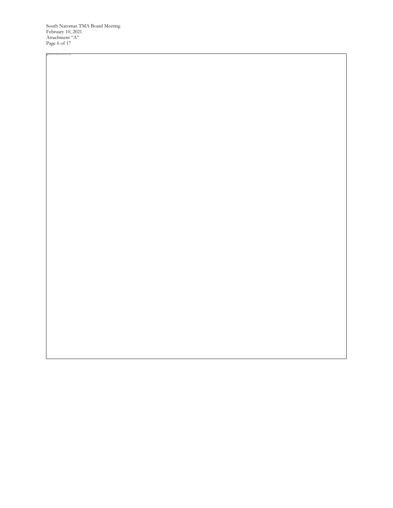South Natomas TMA Board Meeting February 10, 2021 Attachment "A" Page 6 of 17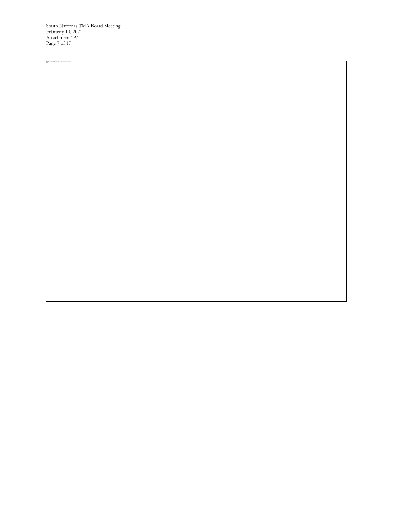South Natomas TMA Board Meeting February 10, 2021 Attachment "A" Page 7 of 17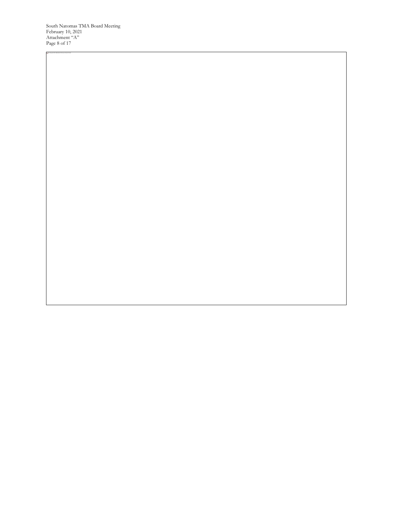South Natomas TMA Board Meeting February 10, 2021 Attachment "A" Page 8 of 17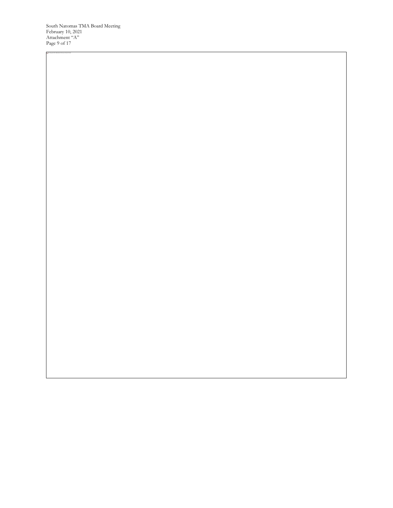South Natomas TMA Board Meeting February 10, 2021 Attachment "A" Page 9 of 17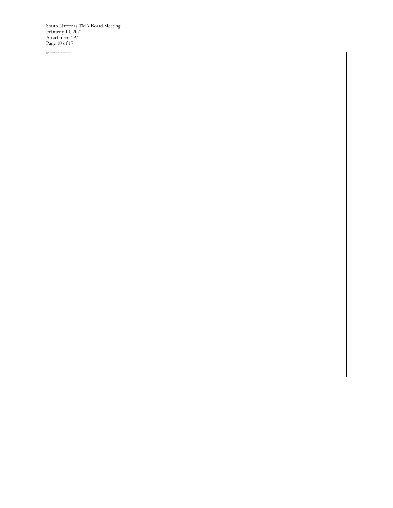South Natomas TMA Board Meeting February 10, 2021 Attachment "A" Page 10 of 17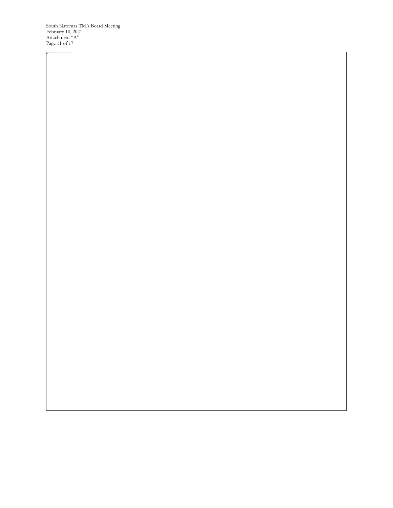South Natomas TMA Board Meeting February 10, 2021 Attachment "A" Page 11 of 17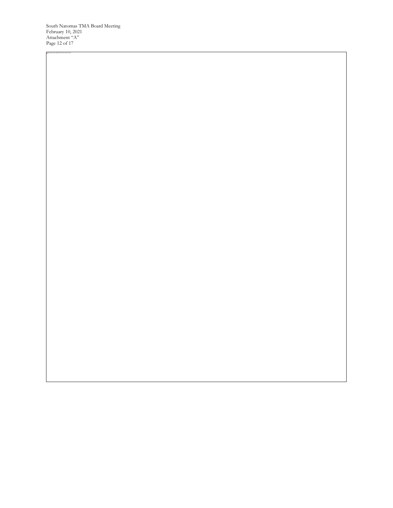South Natomas TMA Board Meeting February 10, 2021 Attachment "A" Page 12 of 17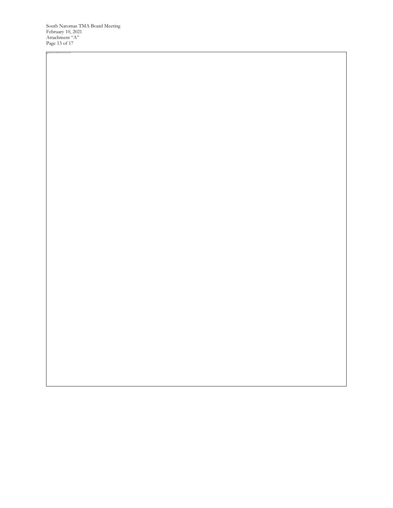South Natomas TMA Board Meeting February 10, 2021 Attachment "A" Page 13 of 17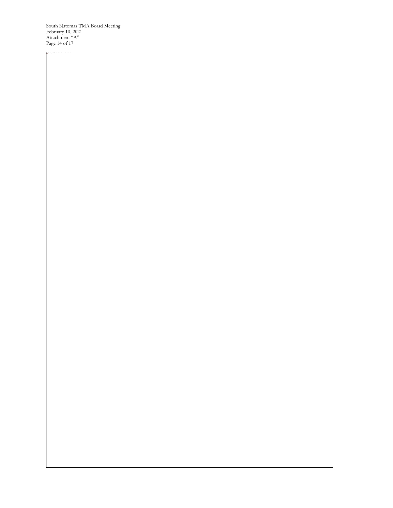South Natomas TMA Board Meeting February 10, 2021 Attachment "A" Page 14 of 17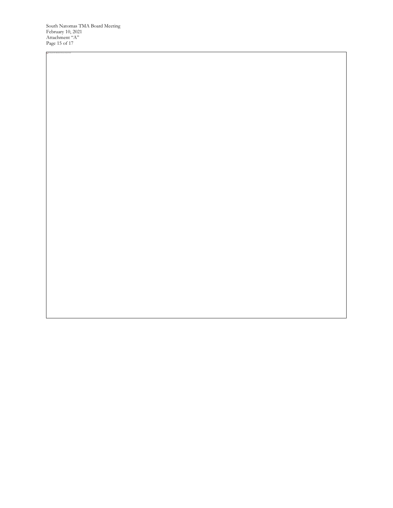South Natomas TMA Board Meeting February 10, 2021 Attachment "A" Page 15 of 17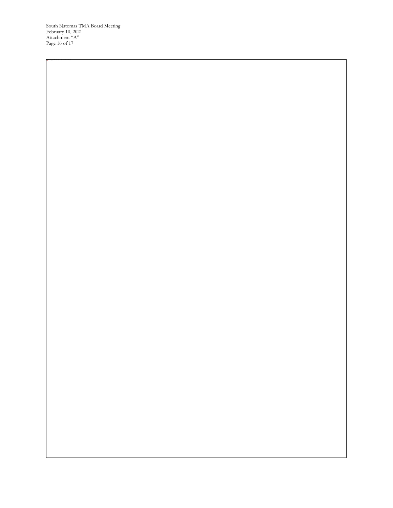South Natomas TMA Board Meeting February 10, 2021 Attachment "A" Page 16 of 17